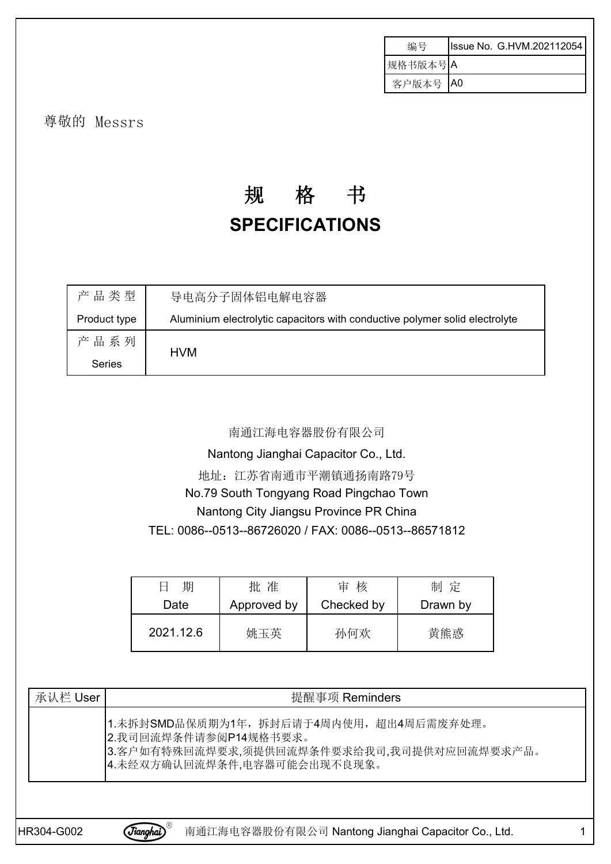| 编号      | Issue No. G.HVM.202112054 |
|---------|---------------------------|
| 规格书版本号A |                           |
| 客户版本号   | IA0                       |

尊敬的 Messrs

# 规 格 书 **SPECIFICATIONS**

| 产品类型          | 导电高分子固体铝电解电容器                                                               |
|---------------|-----------------------------------------------------------------------------|
| Product type  | Aluminium electrolytic capacitors with conductive polymer solid electrolyte |
| 产品系列          |                                                                             |
| <b>Series</b> | <b>HVM</b>                                                                  |

#### 南通江海电容器股份有限公司

Nantong Jianghai Capacitor Co., Ltd.

地址:江苏省南通市平潮镇通扬南路79号

No.79 South Tongyang Road Pingchao Town

## Nantong City Jiangsu Province PR China

TEL: 0086--0513--86726020 / FAX: 0086--0513--86571812

| 期<br>$\overline{\phantom{0}}$ | 准<br>批      | 核<br>审     | 制定       |
|-------------------------------|-------------|------------|----------|
| Date                          | Approved by | Checked by | Drawn by |
| 2021.12.6                     | 姚玉英         | 孙何欢        | 黄熊惑      |

| 承认栏 User | 提醒事项 Reminders                                                                                                                                 |
|----------|------------------------------------------------------------------------------------------------------------------------------------------------|
|          | 1.未拆封SMD品保质期为1年,拆封后请于4周内使用,超出4周后需废弃处理。<br>2.我司回流焊条件请参阅P14规格书要求。<br>3.客户如有特殊回流焊要求,须提供回流焊条件要求给我司,我司提供对应回流焊要求产品。<br>4. 未经双方确认回流焊条件, 电容器可能会出现不良现象。 |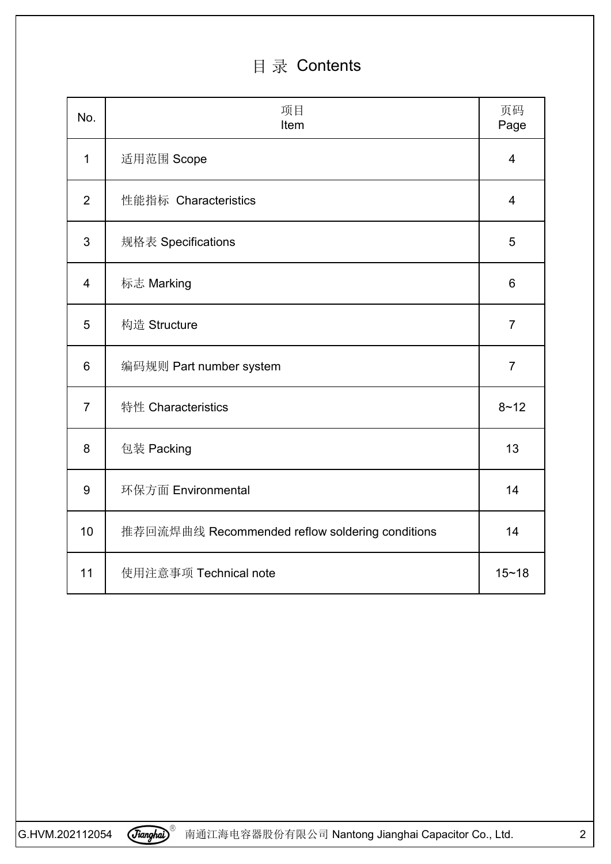## 目 录 Contents

| No.              | 项目<br>Item                                      | 页码<br>Page     |
|------------------|-------------------------------------------------|----------------|
| $\mathbf{1}$     | 适用范围 Scope                                      | $\overline{4}$ |
| $\overline{2}$   | 性能指标 Characteristics                            | $\overline{4}$ |
| 3                | 规格表 Specifications                              | 5              |
| $\overline{4}$   | 标志 Marking                                      | $6\,$          |
| 5                | 构造 Structure                                    | $\overline{7}$ |
| $6\phantom{1}6$  | 编码规则 Part number system                         | $\overline{7}$ |
| $\overline{7}$   | 特性 Characteristics                              | $8 - 12$       |
| 8                | 包装 Packing                                      | 13             |
| $\boldsymbol{9}$ | 环保方面 Environmental                              | 14             |
| 10               | 推荐回流焊曲线 Recommended reflow soldering conditions | 14             |
| 11               | 使用注意事项 Technical note                           | $15 - 18$      |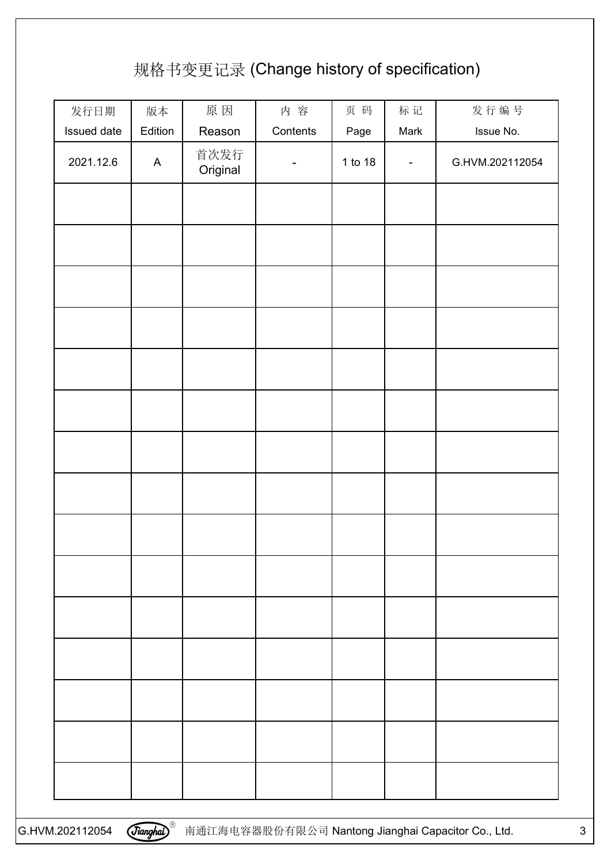## 规格书变更记录 (Change history of specification)

| 发行日期        | 版本           | 原因               | 内容                       | 页码      | 标记             | 发行编号            |
|-------------|--------------|------------------|--------------------------|---------|----------------|-----------------|
| Issued date | Edition      | Reason           | Contents                 | Page    | Mark           | Issue No.       |
| 2021.12.6   | $\mathsf{A}$ | 首次发行<br>Original | $\overline{\phantom{a}}$ | 1 to 18 | $\blacksquare$ | G.HVM.202112054 |
|             |              |                  |                          |         |                |                 |
|             |              |                  |                          |         |                |                 |
|             |              |                  |                          |         |                |                 |
|             |              |                  |                          |         |                |                 |
|             |              |                  |                          |         |                |                 |
|             |              |                  |                          |         |                |                 |
|             |              |                  |                          |         |                |                 |
|             |              |                  |                          |         |                |                 |
|             |              |                  |                          |         |                |                 |
|             |              |                  |                          |         |                |                 |
|             |              |                  |                          |         |                |                 |
|             |              |                  |                          |         |                |                 |
|             |              |                  |                          |         |                |                 |
|             |              |                  |                          |         |                |                 |
|             |              |                  |                          |         |                |                 |
|             |              |                  |                          |         |                |                 |
|             |              |                  |                          |         |                |                 |
|             |              |                  |                          |         |                |                 |
|             |              |                  |                          |         |                |                 |
|             |              |                  |                          |         |                |                 |
|             |              |                  |                          |         |                |                 |
|             |              |                  |                          |         |                |                 |
|             |              |                  |                          |         |                |                 |
|             |              |                  |                          |         |                |                 |
|             |              |                  |                          |         |                |                 |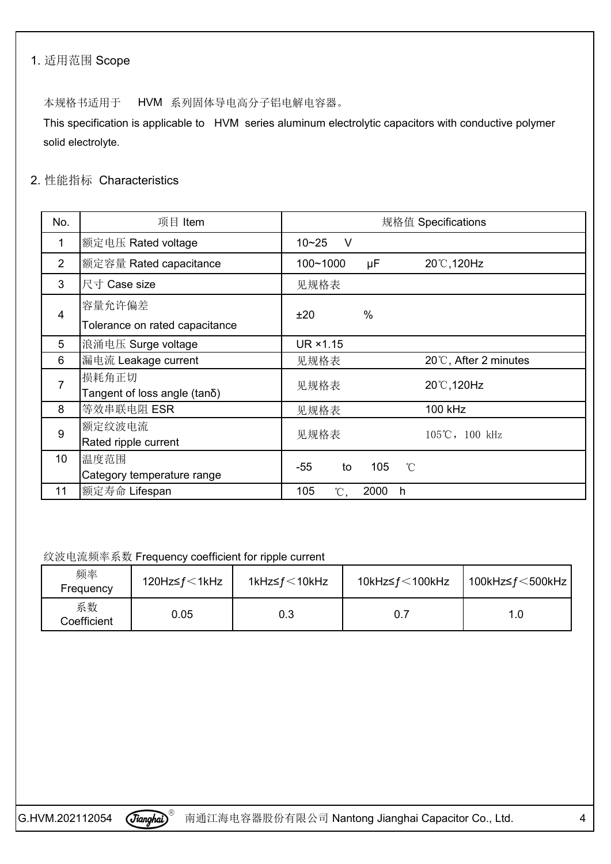### 1. 适用范围 Scope

本规格书适用于 HVM 系列固体导电高分子铝电解电容器。

This specification is applicable to HVM series aluminum electrolytic capacitors with conductive polymer solid electrolyte.

## 2. 性能指标 Characteristics

| No.            | 项目 Item                        | 规格值 Specifications                |
|----------------|--------------------------------|-----------------------------------|
| 1              | 额定电压 Rated voltage             | $10 - 25$<br>$\vee$               |
| $\overline{2}$ | 额定容量 Rated capacitance         | 100~1000<br>μF<br>20°C, 120Hz     |
| 3              | 尺寸 Case size                   | 见规格表                              |
| $\overline{4}$ | 容量允许偏差                         | $\frac{0}{0}$<br>±20              |
|                | Tolerance on rated capacitance |                                   |
| 5              | 浪涌电压 Surge voltage             | UR ×1.15                          |
| 6              | 漏电流 Leakage current            | 20℃, After 2 minutes<br>见规格表      |
| $\overline{7}$ | 损耗角正切                          | 20°C, 120Hz<br>见规格表               |
|                | Tangent of loss angle (tano)   |                                   |
| 8              | 等效串联电阻 ESR                     | 100 kHz<br>见规格表                   |
| 9              | 额定纹波电流                         | 见规格表<br>105℃, 100 kHz             |
|                | Rated ripple current           |                                   |
| 10             | 温度范围                           | $-55$<br>105<br>to<br>$^{\circ}C$ |
|                | Category temperature range     |                                   |
| 11             | 额定寿命 Lifespan                  | 105<br>2000<br>°C,<br>h           |

纹波电流频率系数 Frequency coefficient for ripple current

| 频率<br>Frequency   | 120Hz≤ $f$ $\leq$ 1kHz | 1kHz≤ $f$ $\leq$ 10kHz | 10kHz≤ $f$ <100kHz | 100kHz≤ $f$ $\leq$ 500kHz |  |
|-------------------|------------------------|------------------------|--------------------|---------------------------|--|
| 系数<br>Coefficient | 0.05                   | 0.3                    | 0.7                | 1.0                       |  |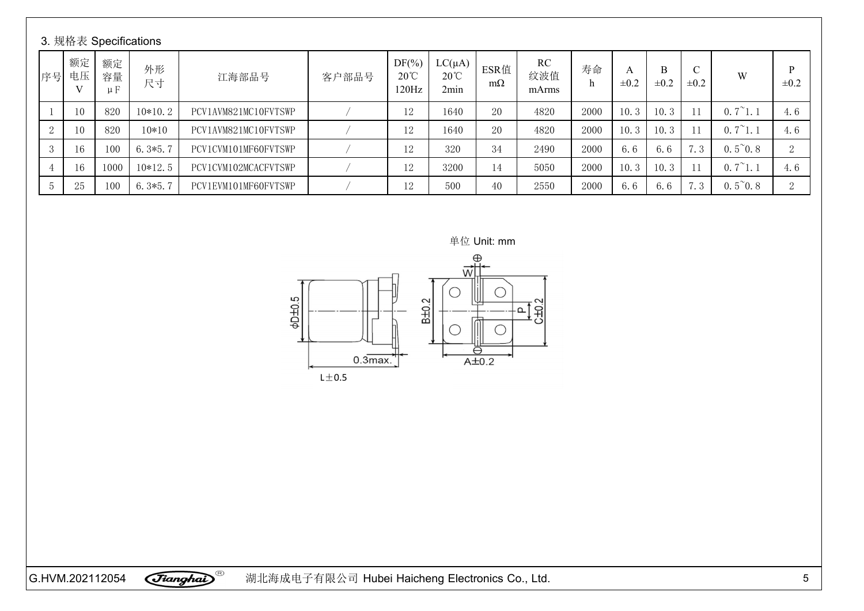|    |          |                     | 3. 规格表 Specifications |                      |       |                                     |                                       |                   |                           |      |                |                |                            |                  |                |
|----|----------|---------------------|-----------------------|----------------------|-------|-------------------------------------|---------------------------------------|-------------------|---------------------------|------|----------------|----------------|----------------------------|------------------|----------------|
| 序号 | 额定<br>电压 | 额定<br>容量<br>$\mu F$ | 外形<br>尺寸              | 江海部品号                | 客户部品号 | $DF(\%)$<br>$20^{\circ}$ C<br>120Hz | $LC(\mu A)$<br>$20^{\circ}$ C<br>2min | ESR值<br>$m\Omega$ | <b>RC</b><br>纹波值<br>mArms | 寿命   | A<br>$\pm 0.2$ | B<br>$\pm 0.2$ | $\mathcal{C}$<br>$\pm 0.2$ | W                | D<br>$\pm 0.2$ |
|    | 10       | 820                 | $10*10.2$             | PCV1AVM821MC10FVTSWP |       | 12                                  | 1640                                  | 20                | 4820                      | 2000 | 10.3           | 10.3           |                            | $0.7^{\sim}1.1$  | 4.6            |
| 2  | 10       | 820                 | $10*10$               | PCV1AVM821MC10FVTSWP |       | 12                                  | 1640                                  | 20                | 4820                      | 2000 | 10.3           | 10.3           |                            | $0.7^{\sim}1.1$  | 4.6            |
|    | 16       | 100                 | $6.3*5.7$             | PCV1CVM101MF60FVTSWP |       | 12                                  | 320                                   | 34                | 2490                      | 2000 | 6.6            | 6.6            | 7.3                        | $0.5^{\circ}0.8$ | $\Omega$<br>∠  |
|    |          | 1000                | $10*12.5$             | PCV1CVM102MCACFVTSWP |       | 12                                  | 3200                                  | 14                | 5050                      | 2000 | 10.3           | 10.3           |                            | $0.7^{\sim}1.1$  | 4.6            |
|    | 25       | 100                 | $6.3*5.7$             | PCV1EVM101MF60FVTSWP |       | 12                                  | 500                                   | 40                | 2550                      | 2000 | 6.6            | 6.6            | 7.3                        | $0.5^{\sim}0.8$  | $\Omega$<br>∠  |

单位 Unit: mm

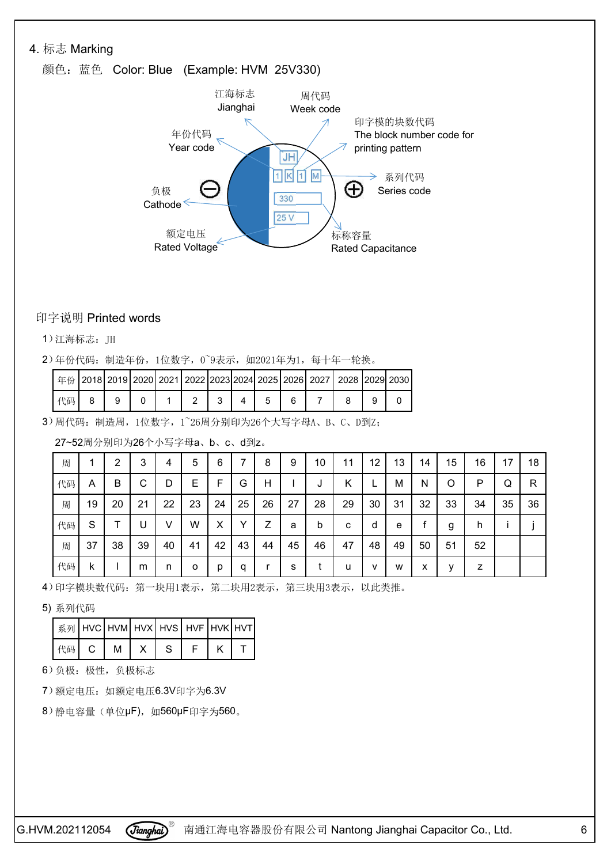#### 4. 标志 Marking

## 颜色: 蓝色 Color: Blue (Example: HVM 25V330)



#### 印字说明 Printed words

1)江海标志:JH

2)年份代码:制造年份,1位数字,0~9表示,如2021年为1,每十年一轮换。

|    |  |  |  |  |  | ' 年份   2018   2019   2020   2021   2022   2023   2024   2025   2026   2027   2028   2029   2030 |  |
|----|--|--|--|--|--|-------------------------------------------------------------------------------------------------|--|
| 代码 |  |  |  |  |  |                                                                                                 |  |

3)周代码:制造周,1位数字,1~26周分别印为26个大写字母A、B、C、D到Z;

27~52周分别印为26个小写字母a、b、c、d到z。

| 周  |    | 2  | 3  | 4      | 5       | 6  |    | 8  | 9  | 10 | 11 | 12           | 13 | 14           | 15      | 16 | 17 | 18 |
|----|----|----|----|--------|---------|----|----|----|----|----|----|--------------|----|--------------|---------|----|----|----|
| 代码 | A  | B  | C  | D      | Е       | F  | G  | H  |    | J  | K  | <b>L</b>     | м  | <sup>N</sup> | $\circ$ | P  | Q  | R  |
| 周  | 19 | 20 | 21 | 22     | 23      | 24 | 25 | 26 | 27 | 28 | 29 | 30           | 31 | 32           | 33      | 34 | 35 | 36 |
| 代码 | S  | т  | U  | $\vee$ | W       | X  | v  | Ζ  | a  | b  | C  | d            | e  |              | g       | h  |    |    |
| 周  | 37 | 38 | 39 | 40     | 41      | 42 | 43 | 44 | 45 | 46 | 47 | 48           | 49 | 50           | 51      | 52 |    |    |
| 代码 | k. |    | m  | n      | $\circ$ | p  | a  | r  | S. |    | u  | $\mathsf{v}$ | W  | x            | v       | z  |    |    |

4)印字模块数代码: 第一块用1表示, 第二块用2表示, 第三块用3表示, 以此类推。

5) 系列代码

| │系列│HVC│HVM│HVX│HVS│HVF│HVK│HVT│ |       |  |  |
|----------------------------------|-------|--|--|
| 代码 C                             | M   X |  |  |

6)负极:极性,负极标志

7)额定电压:如额定电压6.3V印字为6.3V

8) 静电容量 (单位μF), 如560μF印字为560。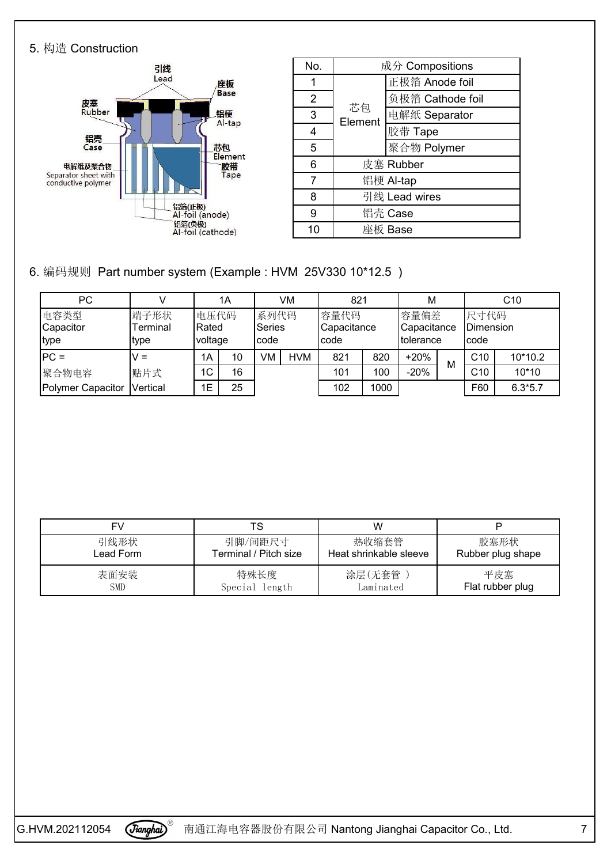#### 5. 构造 Construction



| No.            |               | 成分 Compositions  |  |  |  |
|----------------|---------------|------------------|--|--|--|
|                |               | 正极箔 Anode foil   |  |  |  |
| $\overline{2}$ |               | 负极箔 Cathode foil |  |  |  |
| 3              | 芯包<br>Element | 电解纸 Separator    |  |  |  |
| 4              |               | 胶带 Tape          |  |  |  |
| 5              |               | 聚合物 Polymer      |  |  |  |
| 6              |               | 皮塞 Rubber        |  |  |  |
|                |               | 铝梗 Al-tap        |  |  |  |
| 8              | 引线 Lead wires |                  |  |  |  |
| 9              | 铝壳 Case       |                  |  |  |  |
| 10             |               | 座板 Base          |  |  |  |

6. 编码规则 Part number system (Example : HVM 25V330 10\*12.5 )

| PC                        |                          |                          | 1A |                         | VM         | 821                          |      | M                                |   | C10                        |           |
|---------------------------|--------------------------|--------------------------|----|-------------------------|------------|------------------------------|------|----------------------------------|---|----------------------------|-----------|
| 电容类型<br>Capacitor<br>type | 端子形状<br>Terminal<br>type | 电压代码<br>Rated<br>voltage |    | 系列代码<br>Series<br>Icode |            | 容量代码<br>Capacitance<br>Icode |      | 容量偏差<br>Capacitance<br>tolerance |   | 尺寸代码<br>Dimension<br>Icode |           |
| $PC =$                    | v =                      | 1A                       | 10 | VM                      | <b>HVM</b> | 821                          | 820  | $+20%$                           |   | C <sub>10</sub>            | 10*10.2   |
| 聚合物电容                     | 贴片式                      | $1^\circ$<br>◡           | 16 |                         |            | 101                          | 100  | $-20%$                           | м | C10                        | 10*10     |
| Polymer Capacitor         | Vertical                 | E                        | 25 |                         |            | 102                          | 1000 |                                  |   | F60                        | $6.3*5.7$ |

| F۱,        | TS                    | W                      |                   |
|------------|-----------------------|------------------------|-------------------|
| 引线形状       | 引脚/间距尺寸               | 热收缩套管                  | 胶塞形状              |
| Lead Form  | Terminal / Pitch size | Heat shrinkable sleeve | Rubber plug shape |
| 表面安装       | 特殊长度                  | 涂层(无套管)                | 平皮塞               |
| <b>SMD</b> | Special length        | Laminated              | Flat rubber plug  |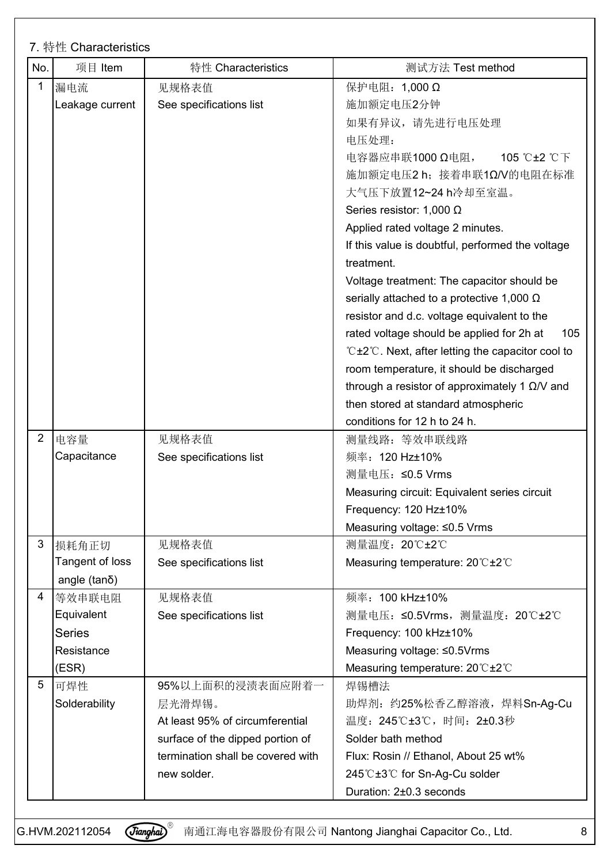| No.            | 项目 Item             | 特性 Characteristics                | 测试方法 Test method                                      |
|----------------|---------------------|-----------------------------------|-------------------------------------------------------|
|                | 漏电流                 | 见规格表值                             | 保护电阻: 1,000 Ω                                         |
|                | Leakage current     | See specifications list           | 施加额定电压2分钟                                             |
|                |                     |                                   | 如果有异议,请先进行电压处理                                        |
|                |                     |                                   | 电压处理:                                                 |
|                |                     |                                   | 105 °C±2 °C下<br>电容器应串联1000 Ω电阻,                       |
|                |                     |                                   | 施加额定电压2 h; 接着串联1Ω/V的电阻在标准                             |
|                |                     |                                   | 大气压下放置12~24 h冷却至室温。                                   |
|                |                     |                                   | Series resistor: 1,000 $\Omega$                       |
|                |                     |                                   | Applied rated voltage 2 minutes.                      |
|                |                     |                                   | If this value is doubtful, performed the voltage      |
|                |                     |                                   | treatment.                                            |
|                |                     |                                   | Voltage treatment: The capacitor should be            |
|                |                     |                                   | serially attached to a protective 1,000 $\Omega$      |
|                |                     |                                   | resistor and d.c. voltage equivalent to the           |
|                |                     |                                   | rated voltage should be applied for 2h at<br>105      |
|                |                     |                                   | ℃±2℃. Next, after letting the capacitor cool to       |
|                |                     |                                   | room temperature, it should be discharged             |
|                |                     |                                   | through a resistor of approximately 1 $\Omega$ /V and |
|                |                     |                                   | then stored at standard atmospheric                   |
|                |                     |                                   | conditions for 12 h to 24 h.                          |
| $\overline{2}$ | 电容量                 | 见规格表值                             | 测量线路: 等效串联线路                                          |
|                | Capacitance         | See specifications list           | 频率: 120 Hz±10%                                        |
|                |                     |                                   | 测量电压: ≤0.5 Vrms                                       |
|                |                     |                                   | Measuring circuit: Equivalent series circuit          |
|                |                     |                                   | Frequency: 120 Hz±10%                                 |
|                |                     |                                   | Measuring voltage: ≤0.5 Vrms                          |
| 3              | 损耗角正切               | 见规格表值                             | 测量温度: 20℃±2℃                                          |
|                | Tangent of loss     | See specifications list           | Measuring temperature: 20°C±2°C                       |
|                | angle $(tan\delta)$ |                                   |                                                       |
|                | 4 等效串联电阻            | 见规格表值                             | 频率: 100 kHz±10%                                       |
|                | Equivalent          | See specifications list           | 测量电压: ≤0.5Vrms, 测量温度: 20℃±2℃                          |
|                | Series              |                                   | Frequency: 100 kHz±10%                                |
|                | Resistance          |                                   | Measuring voltage: ≤0.5Vrms                           |
|                | (ESR)               |                                   | Measuring temperature: 20°C±2°C                       |
| 5              | 可焊性                 | 95%以上面积的浸渍表面应附着一                  | 焊锡槽法                                                  |
|                | Solderability       | 层光滑焊锡。                            | 助焊剂: 约25%松香乙醇溶液, 焊料Sn-Ag-Cu                           |
|                |                     | At least 95% of circumferential   | 温度: 245℃±3℃, 时间: 2±0.3秒                               |
|                |                     | surface of the dipped portion of  | Solder bath method                                    |
|                |                     | termination shall be covered with | Flux: Rosin // Ethanol, About 25 wt%                  |
|                |                     | new solder.                       | 245℃±3℃ for Sn-Ag-Cu solder                           |
|                |                     |                                   |                                                       |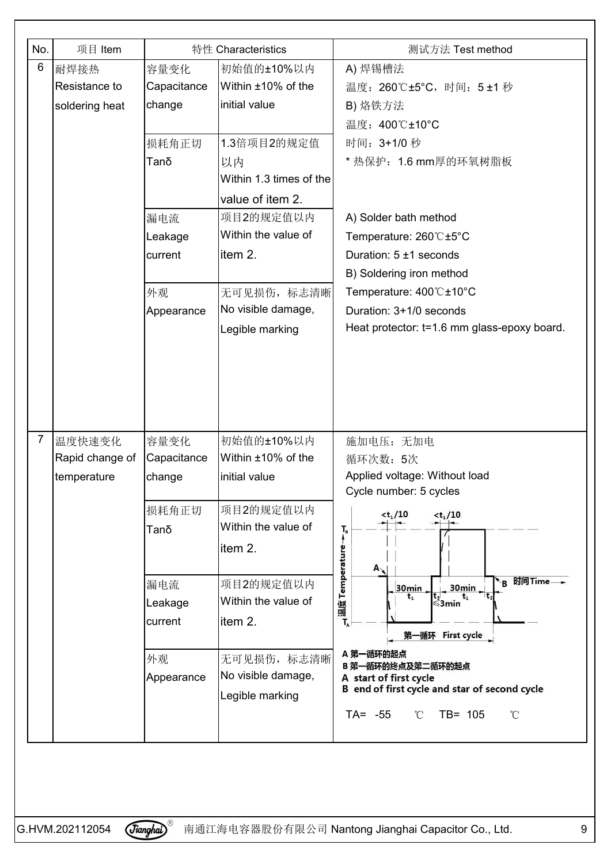| No.            | 项目 Item         |             | 特性 Characteristics               | 测试方法 Test method                                                                                                      |
|----------------|-----------------|-------------|----------------------------------|-----------------------------------------------------------------------------------------------------------------------|
| 6              | 耐焊接热            | 容量变化        | 初始值的±10%以内                       | A) 焊锡槽法                                                                                                               |
|                | Resistance to   | Capacitance | Within ±10% of the               | 温度: 260℃±5℃, 时间: 5±1秒                                                                                                 |
|                | soldering heat  | change      | initial value                    | B) 烙铁方法                                                                                                               |
|                |                 |             |                                  | 温度: 400℃±10°C                                                                                                         |
|                |                 | 损耗角正切       | 1.3倍项目2的规定值                      | 时间: 3+1/0 秒                                                                                                           |
|                |                 | Tanδ        | 以内                               | * 热保护: 1.6 mm厚的环氧树脂板                                                                                                  |
|                |                 |             | Within 1.3 times of the          |                                                                                                                       |
|                |                 |             | value of item 2.                 |                                                                                                                       |
|                |                 | 漏电流         | 项目2的规定值以内                        | A) Solder bath method                                                                                                 |
|                |                 | Leakage     | Within the value of              | Temperature: 260°C±5°C                                                                                                |
|                |                 | current     | item 2.                          | Duration: 5 ±1 seconds                                                                                                |
|                |                 |             |                                  | B) Soldering iron method                                                                                              |
|                |                 | 外观          | 无可见损伤, 标志清晰                      | Temperature: 400℃±10°C                                                                                                |
|                |                 | Appearance  | No visible damage,               | Duration: 3+1/0 seconds                                                                                               |
|                |                 |             | Legible marking                  | Heat protector: t=1.6 mm glass-epoxy board.                                                                           |
|                |                 |             |                                  |                                                                                                                       |
|                |                 |             |                                  |                                                                                                                       |
|                |                 |             |                                  |                                                                                                                       |
|                |                 |             |                                  |                                                                                                                       |
|                |                 |             |                                  |                                                                                                                       |
| $\overline{7}$ | 温度快速变化          | 容量变化        | 初始值的±10%以内                       | 施加电压: 无加电                                                                                                             |
|                | Rapid change of | Capacitance | Within ±10% of the               | 循环次数: 5次                                                                                                              |
|                | temperature     | change      | initial value                    | Applied voltage: Without load                                                                                         |
|                |                 |             | 项目2的规定值以内                        | Cycle number: 5 cycles                                                                                                |
|                |                 | 损耗角正切       | Within the value of              | $<$ t <sub>1</sub> /10<br>$<$ t <sub>1</sub> /10                                                                      |
|                |                 | Tanδ        |                                  | $T_{\rm B}$                                                                                                           |
|                |                 |             | item 2.                          | 温度 Temperature                                                                                                        |
|                |                 |             |                                  | $A_{\lambda}$<br>'B 时间Time— <del>→</del>                                                                              |
|                |                 | 漏电流         | 项目2的规定值以内<br>Within the value of | 30min<br>30min<br>$\left  \begin{array}{c} t_2 \\ \text{sum} \\ \text{sum} \end{array} \right $<br>$t_{1}$<br>$t_{1}$ |
|                |                 | Leakage     |                                  |                                                                                                                       |
|                |                 | current     | item 2.                          | 第一循环 First cycle                                                                                                      |
|                |                 |             |                                  | A 第一循环的起点                                                                                                             |
|                |                 | 外观          | 无可见损伤, 标志清晰                      | B 第一循环的终点及第二循环的起点                                                                                                     |
|                |                 | Appearance  | No visible damage,               | A start of first cycle<br>B end of first cycle and star of second cycle                                               |
|                |                 |             | Legible marking                  |                                                                                                                       |
|                |                 |             |                                  | $TA = -55$<br>$TB = 105$<br>$^\circ\!{\rm C}$<br>$^{\circ}$ C                                                         |
|                |                 |             |                                  |                                                                                                                       |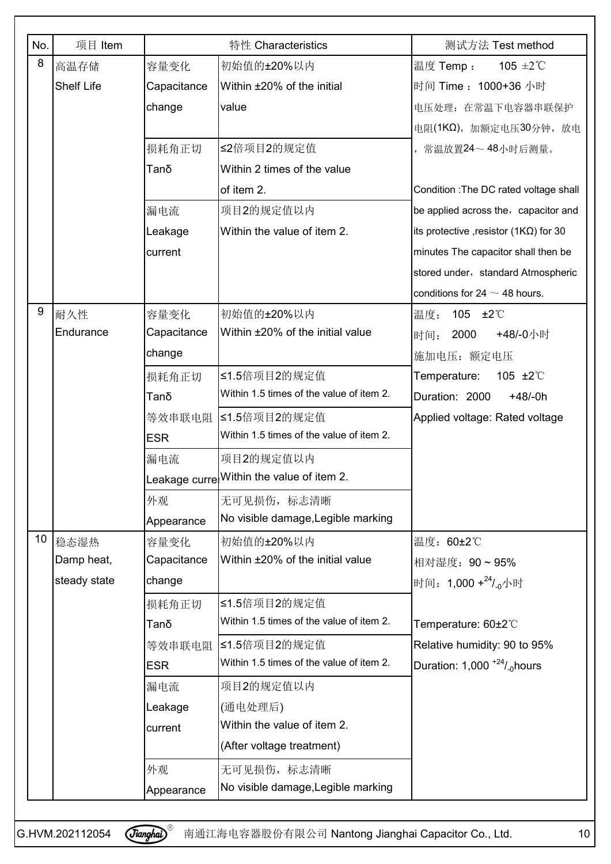| No. | 项目 Item           |             | 特性 Characteristics                        | 测试方法 Test method                                       |
|-----|-------------------|-------------|-------------------------------------------|--------------------------------------------------------|
| 8   | 高温存储              | 容量变化        | 初始值的±20%以内                                | 105 $\pm 2^{\circ}$ C<br>温度 Temp:                      |
|     | <b>Shelf Life</b> | Capacitance | Within ±20% of the initial                | 时间 Time: 1000+36 小时                                    |
|     |                   | change      | value                                     | 电压处理: 在常温下电容器串联保护                                      |
|     |                   |             |                                           | 电阻(1KΩ), 加额定电压30分钟, 放电                                 |
|     |                   | 损耗角正切       | ≤2倍项目2的规定值                                | 常温放置24~48小时后测量。                                        |
|     |                   | Tanδ        | Within 2 times of the value               |                                                        |
|     |                   |             | of item 2.                                | Condition : The DC rated voltage shall                 |
|     |                   | 漏电流         | 项目2的规定值以内                                 | be applied across the, capacitor and                   |
|     |                   | Leakage     | Within the value of item 2.               | its protective , resistor (1K $\Omega$ ) for 30        |
|     |                   | current     |                                           | minutes The capacitor shall then be                    |
|     |                   |             |                                           | stored under, standard Atmospheric                     |
|     |                   |             |                                           | conditions for 24 $\sim$ 48 hours.                     |
| 9   | 耐久性               | 容量变化        | 初始值的±20%以内                                | 105 $\pm 2^{\circ}$<br>温度:                             |
|     | Endurance         | Capacitance | Within ±20% of the initial value          | 2000<br>+48/-0小时<br>时间:                                |
|     |                   | change      |                                           | 施加电压: 额定电压                                             |
|     |                   | 损耗角正切       | ≤1.5倍项目2的规定值                              | Temperature:<br>105 $\pm 2^{\circ}$                    |
|     |                   | Tanδ        | Within 1.5 times of the value of item 2.  | Duration: 2000<br>$+48/ -0h$                           |
|     |                   |             | 等效串联电阻 ≤1.5倍项目2的规定值                       | Applied voltage: Rated voltage                         |
|     |                   | <b>ESR</b>  | Within 1.5 times of the value of item 2.  |                                                        |
|     |                   | 漏电流         | 项目2的规定值以内                                 |                                                        |
|     |                   |             | Leakage curre Within the value of item 2. |                                                        |
|     |                   | 外观          | 无可见损伤, 标志清晰                               |                                                        |
|     |                   | Appearance  | No visible damage, Legible marking        |                                                        |
|     | 10 稳态湿热           | 容量变化        | 初始值的±20%以内                                | 温度: 60±2℃                                              |
|     | Damp heat,        | Capacitance | Within ±20% of the initial value          | 相对湿度: 90~95%                                           |
|     | steady state      | change      |                                           | 时间: 1,000 + 24/ <sub>-0</sub> 小时                       |
|     |                   | 损耗角正切       | ≤1.5倍项目2的规定值                              |                                                        |
|     |                   | Tanδ        | Within 1.5 times of the value of item 2.  | Temperature: 60±2°C                                    |
|     |                   |             | 等效串联电阻 ≤1.5倍项目2的规定值                       | Relative humidity: 90 to 95%                           |
|     |                   | <b>ESR</b>  | Within 1.5 times of the value of item 2.  | Duration: $1,000$ <sup>+24</sup> / <sub>-0</sub> hours |
|     |                   | 漏电流         | 项目2的规定值以内                                 |                                                        |
|     |                   | Leakage     | (通电处理后)                                   |                                                        |
|     |                   | current     | Within the value of item 2.               |                                                        |
|     |                   |             | (After voltage treatment)                 |                                                        |
|     |                   | 外观          | 无可见损伤, 标志清晰                               |                                                        |
|     |                   | Appearance  | No visible damage, Legible marking        |                                                        |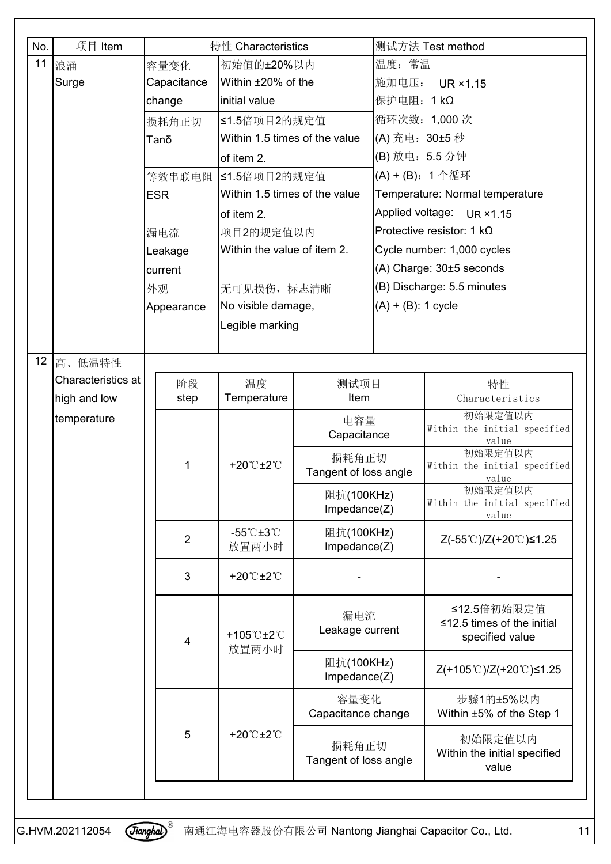| No.   | 项目 Item            |  |                | 特性 Characteristics                         |                                |                          | 测试方法 Test method                                                   |  |
|-------|--------------------|--|----------------|--------------------------------------------|--------------------------------|--------------------------|--------------------------------------------------------------------|--|
| 11    | 浪涌                 |  | 容量变化           | 初始值的±20%以内                                 |                                | 温度: 常温                   |                                                                    |  |
| Surge |                    |  | Capacitance    | Within ±20% of the                         |                                | 施加电压:<br><b>UR ×1.15</b> |                                                                    |  |
|       | change             |  | initial value  |                                            | 保护电阻: 1 kΩ                     |                          |                                                                    |  |
|       |                    |  | 损耗角正切          | ≤1.5倍项目2的规定值                               |                                |                          | 循环次数: 1,000次                                                       |  |
|       |                    |  | Tanδ           | Within 1.5 times of the value              |                                | (A) 充电: 30±5 秒           |                                                                    |  |
|       |                    |  |                | of item 2.                                 |                                | (B) 放电: 5.5 分钟           |                                                                    |  |
|       |                    |  |                | 等效串联电阻 ≤1.5倍项目2的规定值                        |                                |                          | (A) + (B): 1 个循环                                                   |  |
|       |                    |  | <b>ESR</b>     | Within 1.5 times of the value              |                                |                          | Temperature: Normal temperature                                    |  |
|       |                    |  |                | of item 2.                                 |                                |                          | Applied voltage: UR ×1.15                                          |  |
|       |                    |  | 漏电流            | 项目2的规定值以内                                  |                                |                          | Protective resistor: 1 $k\Omega$                                   |  |
|       |                    |  | Leakage        | Within the value of item 2.                |                                |                          | Cycle number: 1,000 cycles                                         |  |
|       |                    |  | current        |                                            |                                |                          | $(A)$ Charge: $30±5$ seconds                                       |  |
|       |                    |  | 外观             | 无可见损伤, 标志清晰                                |                                |                          | (B) Discharge: 5.5 minutes                                         |  |
|       |                    |  | Appearance     | No visible damage,                         |                                | $(A) + (B)$ : 1 cycle    |                                                                    |  |
|       |                    |  |                | Legible marking                            |                                |                          |                                                                    |  |
|       |                    |  |                |                                            |                                |                          |                                                                    |  |
| 12    | 高、低温特性             |  |                |                                            |                                |                          |                                                                    |  |
|       | Characteristics at |  | 阶段             | 温度                                         | 测试项目                           |                          | 特性                                                                 |  |
|       | high and low       |  | step           | Temperature                                | Item                           |                          | Characteristics                                                    |  |
|       | temperature        |  |                |                                            | 电容量<br>Capacitance             |                          | 初始限定值以内<br>Within the initial specified                            |  |
|       |                    |  |                | +20 $^\circ$ C $\pm$ 2 $^\circ$ C          | 损耗角正切                          |                          | value<br>初始限定值以内                                                   |  |
|       |                    |  | 1              |                                            | Tangent of loss angle          |                          | Within the initial specified<br>value                              |  |
|       |                    |  |                |                                            | 阻抗(100KHz)<br>Impedance(Z)     |                          | 初始限定值以内<br>Within the initial specified<br>value                   |  |
|       |                    |  | $\overline{2}$ | $-55^{\circ}$ C $\pm 3^{\circ}$ C<br>放置两小时 | 阻抗(100KHz)<br>Impedance(Z)     |                          | Z(-55℃)/Z(+20℃)≤1.25                                               |  |
|       |                    |  | 3              | +20 $^\circ$ C $\pm$ 2 $^\circ$ C          |                                |                          |                                                                    |  |
|       |                    |  | 4              | +105°C±2°C                                 | 漏电流<br>Leakage current         |                          | ≤12.5倍初始限定值<br>$\leq$ 12.5 times of the initial<br>specified value |  |
|       |                    |  |                | 放置两小时                                      | 阻抗(100KHz)<br>Impedance(Z)     |                          | Z(+105℃)/Z(+20℃)≤1.25                                              |  |
|       |                    |  |                |                                            | 容量变化<br>Capacitance change     |                          | 步骤1的±5%以内<br>Within ±5% of the Step 1                              |  |
|       |                    |  | 5              | +20°C±2°C                                  | 损耗角正切<br>Tangent of loss angle |                          | 初始限定值以内<br>Within the initial specified<br>value                   |  |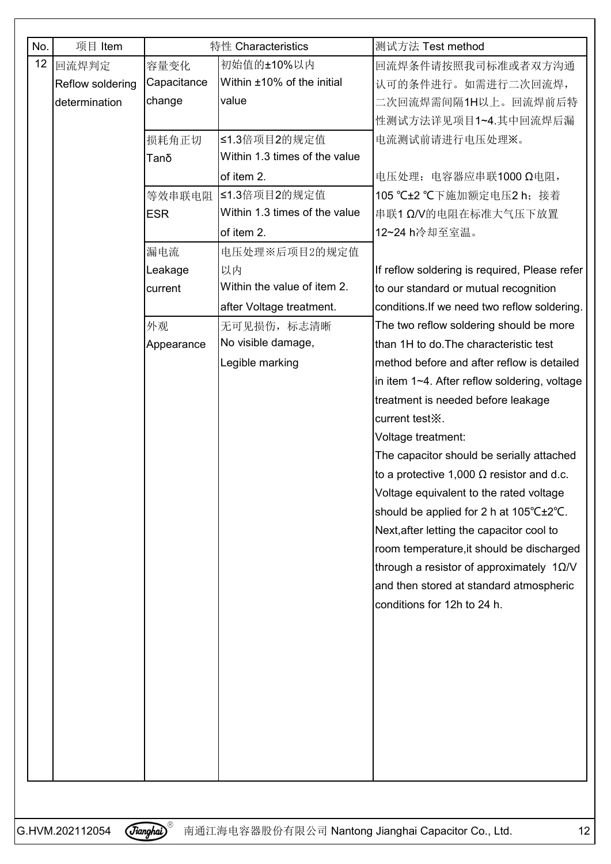| No. | 项目 Item          |             | 特性 Characteristics            | 测试方法 Test method                                 |  |
|-----|------------------|-------------|-------------------------------|--------------------------------------------------|--|
|     | 12 回流焊判定         | 容量变化        | 初始值的±10%以内                    | 回流焊条件请按照我司标准或者双方沟通                               |  |
|     | Reflow soldering | Capacitance | Within ±10% of the initial    | 认可的条件进行。如需进行二次回流焊,                               |  |
|     | determination    | change      | value                         | 二次回流焊需间隔1H以上。回流焊前后特                              |  |
|     |                  |             |                               | 性测试方法详见项目1~4.其中回流焊后漏                             |  |
|     |                  | 损耗角正切       | ≤1.3倍项目2的规定值                  | 电流测试前请进行电压处理※。                                   |  |
|     |                  | Tanδ        | Within 1.3 times of the value |                                                  |  |
|     |                  |             | of item 2.                    | 电压处理: 电容器应串联1000 Ω电阻,                            |  |
|     |                  |             | 等效串联电阻 ≤1.3倍项目2的规定值           | 105 ℃±2 ℃下施加额定电压2 h; 接着                          |  |
|     |                  | <b>ESR</b>  | Within 1.3 times of the value | 串联1 Ω/V的电阻在标准大气压下放置                              |  |
|     |                  |             | of item 2.                    | 12~24 h冷却至室温。                                    |  |
|     |                  | 漏电流         | 电压处理※后项目2的规定值                 |                                                  |  |
|     |                  | Leakage     | 以内                            | If reflow soldering is required, Please refer    |  |
|     |                  | current     | Within the value of item 2.   | to our standard or mutual recognition            |  |
|     |                  |             | after Voltage treatment.      | conditions. If we need two reflow soldering.     |  |
|     |                  | 外观          | 无可见损伤, 标志清晰                   | The two reflow soldering should be more          |  |
|     |                  | Appearance  | No visible damage,            | than 1H to do. The characteristic test           |  |
|     |                  |             | Legible marking               | method before and after reflow is detailed       |  |
|     |                  |             |                               | in item 1~4. After reflow soldering, voltage     |  |
|     |                  |             |                               | treatment is needed before leakage               |  |
|     |                  |             |                               | current test X.                                  |  |
|     |                  |             |                               | Voltage treatment:                               |  |
|     |                  |             |                               | The capacitor should be serially attached        |  |
|     |                  |             |                               | to a protective 1,000 $\Omega$ resistor and d.c. |  |
|     |                  |             |                               | Voltage equivalent to the rated voltage          |  |
|     |                  |             |                               | should be applied for 2 h at 105°C±2°C.          |  |
|     |                  |             |                               | Next, after letting the capacitor cool to        |  |
|     |                  |             |                               | room temperature, it should be discharged        |  |
|     |                  |             |                               | through a resistor of approximately $10/N$       |  |
|     |                  |             |                               | and then stored at standard atmospheric          |  |
|     |                  |             |                               | conditions for 12h to 24 h.                      |  |
|     |                  |             |                               |                                                  |  |
|     |                  |             |                               |                                                  |  |
|     |                  |             |                               |                                                  |  |
|     |                  |             |                               |                                                  |  |
|     |                  |             |                               |                                                  |  |
|     |                  |             |                               |                                                  |  |
|     |                  |             |                               |                                                  |  |
|     |                  |             |                               |                                                  |  |
|     |                  |             |                               |                                                  |  |
|     |                  |             |                               |                                                  |  |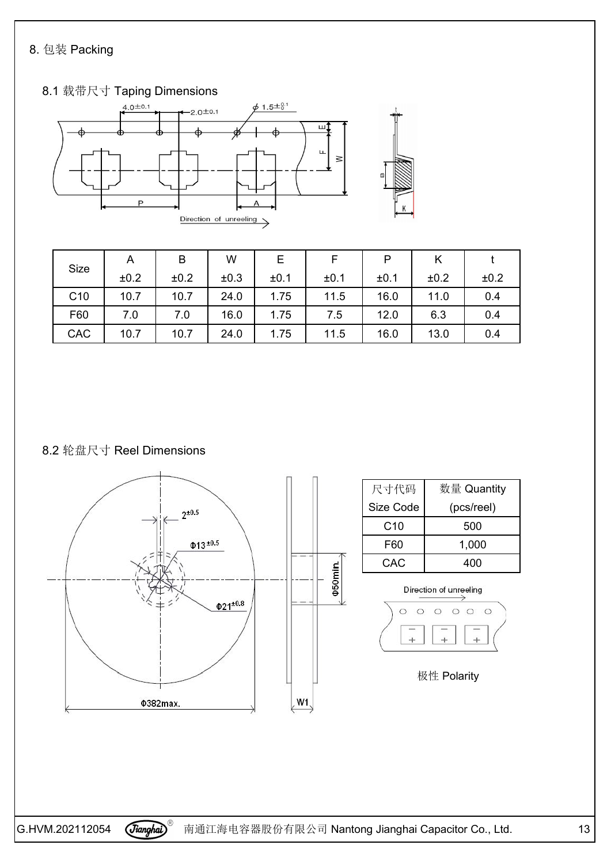## 8. 包装 Packing



| <b>Size</b> | A    | B    | W    | Е    |      | P    | r    |      |
|-------------|------|------|------|------|------|------|------|------|
|             | ±0.2 | ±0.2 | ±0.3 | ±0.1 | ±0.1 | ±0.1 | ±0.2 | ±0.2 |
| C10         | 10.7 | 10.7 | 24.0 | 1.75 | 11.5 | 16.0 | 11.0 | 0.4  |
| F60         | 7.0  | 7.0  | 16.0 | 1.75 | 7.5  | 12.0 | 6.3  | 0.4  |
| CAC         | 10.7 | 10.7 | 24.0 | 1.75 | 11.5 | 16.0 | 13.0 | 0.4  |

#### 8.2 轮盘尺寸 Reel Dimensions



G.HVM.202112054  $\sqrt{J$ *ianghai*)<sup>®</sup> 南通江海电容器股份有限公司 Nantong Jianghai Capacitor Co., Ltd. 13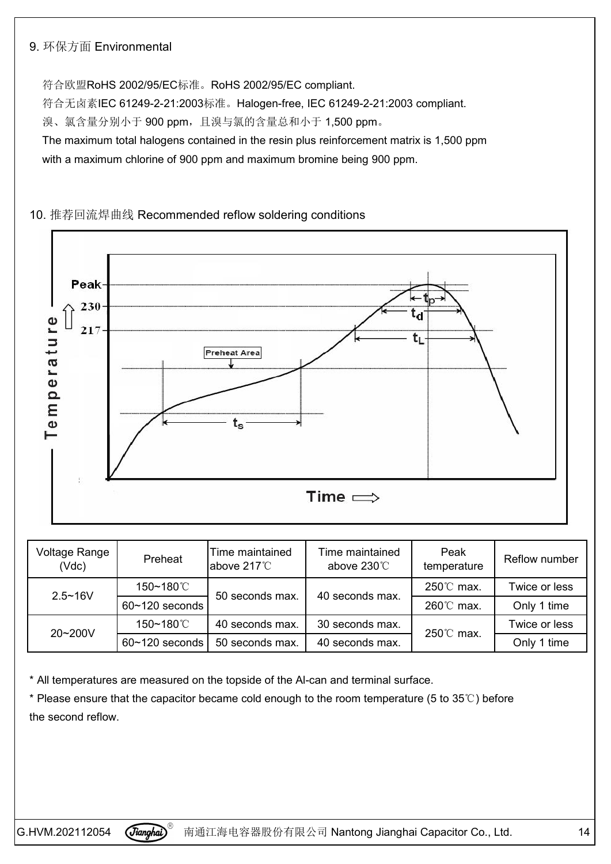#### 9. 环保方面 Environmental

符合欧盟RoHS 2002/95/EC标准。RoHS 2002/95/EC compliant. 符合无卤素IEC 61249-2-21:2003标准。Halogen-free, IEC 61249-2-21:2003 compliant. 溴、氯含量分别小于 900 ppm, 且溴与氯的含量总和小于 1,500 ppm。 The maximum total halogens contained in the resin plus reinforcement matrix is 1,500 ppm with a maximum chlorine of 900 ppm and maximum bromine being 900 ppm.

#### 10. 推荐回流焊曲线 Recommended reflow soldering conditions



| Voltage Range<br>(Vdc) | Preheat            | Time maintained<br>above 217°C | Time maintained<br>above 230°C | Peak<br>temperature | Reflow number |
|------------------------|--------------------|--------------------------------|--------------------------------|---------------------|---------------|
| $2.5 - 16V$            | 150~180℃           |                                |                                | 250℃ max.           | Twice or less |
|                        | $60 - 120$ seconds | 50 seconds max.                | 40 seconds max.                | 260℃ max.           | Only 1 time   |
| 20~200V                | 150~180℃           | 40 seconds max.                | 30 seconds max.                | 250℃ max.           | Twice or less |
|                        | $60 - 120$ seconds | 50 seconds max.                | 40 seconds max.                |                     | Only 1 time   |

\* All temperatures are measured on the topside of the Al-can and terminal surface.

\* Please ensure that the capacitor became cold enough to the room temperature (5 to 35°C) before the second reflow.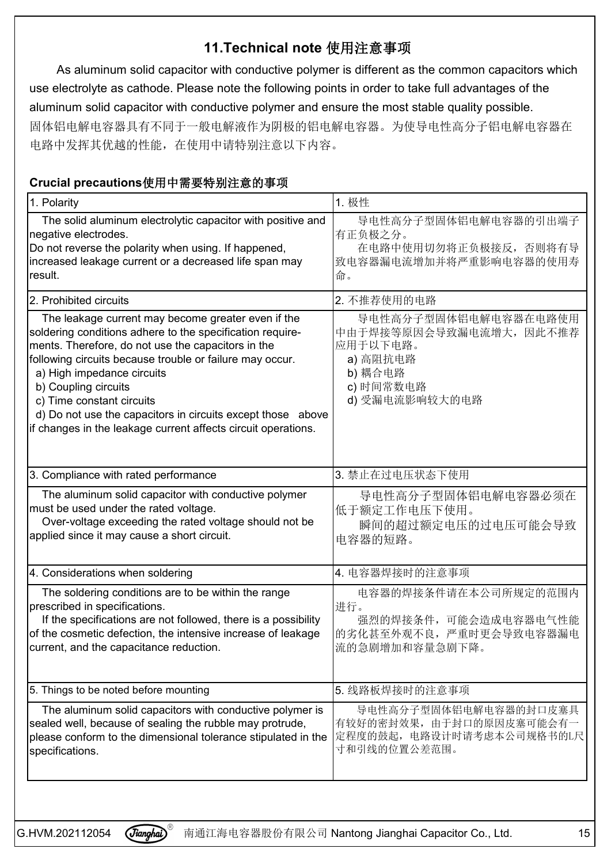## **11.Technical note** 使用注意事项

As aluminum solid capacitor with conductive polymer is different as the common capacitors which use electrolyte as cathode. Please note the following points in order to take full advantages of the aluminum solid capacitor with conductive polymer and ensure the most stable quality possible. 固体铝电解电容器具有不同于一般电解液作为阴极的铝电解电容器。为使导电性高分子铝电解电容器在 电路中发挥其优越的性能,在使用中请特别注意以下内容。

## **Crucial precautions**使用中需要特别注意的事项

| 1. Polarity                                                                                                                                                                                                                                                                                                                                                                                                                                          | 1. 极性                                                                                                             |
|------------------------------------------------------------------------------------------------------------------------------------------------------------------------------------------------------------------------------------------------------------------------------------------------------------------------------------------------------------------------------------------------------------------------------------------------------|-------------------------------------------------------------------------------------------------------------------|
| The solid aluminum electrolytic capacitor with positive and<br>negative electrodes.<br>Do not reverse the polarity when using. If happened,<br>increased leakage current or a decreased life span may<br>result.                                                                                                                                                                                                                                     | 导电性高分子型固体铝电解电容器的引出端子<br>有正负极之分。<br>在电路中使用切勿将正负极接反, 否则将有导<br>致电容器漏电流增加并将严重影响电容器的使用寿<br>命。                          |
| 2. Prohibited circuits                                                                                                                                                                                                                                                                                                                                                                                                                               | 2. 不推荐使用的电路                                                                                                       |
| The leakage current may become greater even if the<br>soldering conditions adhere to the specification require-<br>ments. Therefore, do not use the capacitors in the<br>following circuits because trouble or failure may occur.<br>a) High impedance circuits<br>b) Coupling circuits<br>c) Time constant circuits<br>d) Do not use the capacitors in circuits except those above<br>if changes in the leakage current affects circuit operations. | 导电性高分子型固体铝电解电容器在电路使用<br>中由于焊接等原因会导致漏电流增大, 因此不推荐<br>应用于以下电路。<br>a) 高阻抗电路<br>b) 耦合电路<br>c) 时间常数电路<br>d) 受漏电流影响较大的电路 |
| 3. Compliance with rated performance                                                                                                                                                                                                                                                                                                                                                                                                                 | 3. 禁止在过电压状态下使用                                                                                                    |
| The aluminum solid capacitor with conductive polymer<br>must be used under the rated voltage.<br>Over-voltage exceeding the rated voltage should not be<br>applied since it may cause a short circuit.                                                                                                                                                                                                                                               | 导电性高分子型固体铝电解电容器必须在<br>低于额定工作电压下使用。<br>瞬间的超过额定电压的过电压可能会导致<br>电容器的短路。                                               |
| 4. Considerations when soldering                                                                                                                                                                                                                                                                                                                                                                                                                     | 4. 电容器焊接时的注意事项                                                                                                    |
| The soldering conditions are to be within the range<br>prescribed in specifications.<br>If the specifications are not followed, there is a possibility<br>of the cosmetic defection, the intensive increase of leakage<br>current, and the capacitance reduction.                                                                                                                                                                                    | 电容器的焊接条件请在本公司所规定的范围内<br>进行。<br>强烈的焊接条件,可能会造成电容器电气性能<br>的劣化甚至外观不良, 严重时更会导致电容器漏电<br>流的急剧增加和容量急剧下降。                  |
| 5. Things to be noted before mounting                                                                                                                                                                                                                                                                                                                                                                                                                | 5. 线路板焊接时的注意事项                                                                                                    |
| The aluminum solid capacitors with conductive polymer is<br>sealed well, because of sealing the rubble may protrude,<br>please conform to the dimensional tolerance stipulated in the<br>specifications.                                                                                                                                                                                                                                             | 导电性高分子型固体铝电解电容器的封口皮塞具<br>有较好的密封效果, 由于封口的原因皮塞可能会有-<br>定程度的鼓起, 电路设计时请考虑本公司规格书的L尺<br>寸和引线的位置公差范围。                    |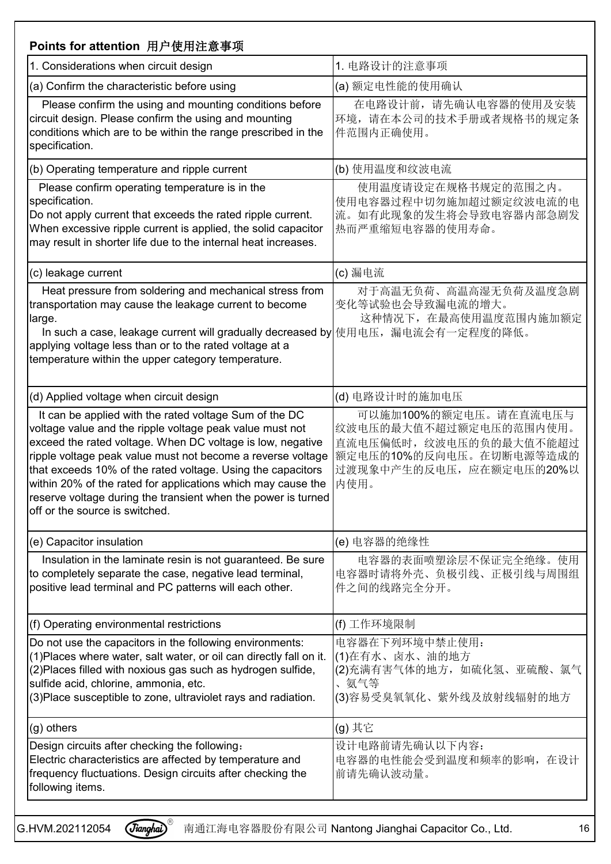| Points for attention 用户使用注意事项                                                                                                                                                                                                                                                                                                                                                                                                                                                     |                                                                                                                                          |
|-----------------------------------------------------------------------------------------------------------------------------------------------------------------------------------------------------------------------------------------------------------------------------------------------------------------------------------------------------------------------------------------------------------------------------------------------------------------------------------|------------------------------------------------------------------------------------------------------------------------------------------|
| 1. Considerations when circuit design                                                                                                                                                                                                                                                                                                                                                                                                                                             | 1. 电路设计的注意事项                                                                                                                             |
| (a) Confirm the characteristic before using                                                                                                                                                                                                                                                                                                                                                                                                                                       | (a) 额定电性能的使用确认                                                                                                                           |
| Please confirm the using and mounting conditions before<br>circuit design. Please confirm the using and mounting<br>conditions which are to be within the range prescribed in the<br>specification.                                                                                                                                                                                                                                                                               | 在电路设计前,请先确认电容器的使用及安装<br>环境, 请在本公司的技术手册或者规格书的规定条<br>件范围内正确使用。                                                                             |
| (b) Operating temperature and ripple current                                                                                                                                                                                                                                                                                                                                                                                                                                      | (b) 使用温度和纹波电流                                                                                                                            |
| Please confirm operating temperature is in the<br>specification.<br>Do not apply current that exceeds the rated ripple current.<br>When excessive ripple current is applied, the solid capacitor<br>may result in shorter life due to the internal heat increases.                                                                                                                                                                                                                | 使用温度请设定在规格书规定的范围之内。<br>使用电容器过程中切勿施加超过额定纹波电流的电<br>流。如有此现象的发生将会导致电容器内部急剧发<br> 热而严重缩短电容器的使用寿命。                                              |
| (c) leakage current                                                                                                                                                                                                                                                                                                                                                                                                                                                               | (c) 漏电流                                                                                                                                  |
| Heat pressure from soldering and mechanical stress from<br>transportation may cause the leakage current to become<br>large.<br>In such a case, leakage current will gradually decreased by 使用电压, 漏电流会有一定程度的降低。<br>applying voltage less than or to the rated voltage at a<br>temperature within the upper category temperature.                                                                                                                                                   | 对于高温无负荷、高温高湿无负荷及温度急剧<br>变化等试验也会导致漏电流的增大。<br>这种情况下, 在最高使用温度范围内施加额定                                                                        |
| (d) Applied voltage when circuit design                                                                                                                                                                                                                                                                                                                                                                                                                                           | (d) 电路设计时的施加电压                                                                                                                           |
| It can be applied with the rated voltage Sum of the DC<br>voltage value and the ripple voltage peak value must not<br>exceed the rated voltage. When DC voltage is low, negative<br>ripple voltage peak value must not become a reverse voltage<br>that exceeds 10% of the rated voltage. Using the capacitors<br>within 20% of the rated for applications which may cause the<br>reserve voltage during the transient when the power is turned<br>off or the source is switched. | 可以施加100%的额定电压。请在直流电压与<br>纹波电压的最大值不超过额定电压的范围内使用。<br>直流电压偏低时,纹波电压的负的最大值不能超过<br>额定电压的10%的反向电压。在切断电源等造成的<br>过渡现象中产生的反电压, 应在额定电压的20%以<br>内使用。 |
| (e) Capacitor insulation                                                                                                                                                                                                                                                                                                                                                                                                                                                          | (e) 电容器的绝缘性                                                                                                                              |
| Insulation in the laminate resin is not guaranteed. Be sure<br>to completely separate the case, negative lead terminal,<br>positive lead terminal and PC patterns will each other.                                                                                                                                                                                                                                                                                                | 电容器的表面喷塑涂层不保证完全绝缘。使用<br>电容器时请将外壳、负极引线、正极引线与周围组<br>件之间的线路完全分开。                                                                            |
| (f) Operating environmental restrictions                                                                                                                                                                                                                                                                                                                                                                                                                                          | (f) 工作环境限制                                                                                                                               |
| Do not use the capacitors in the following environments:<br>(1) Places where water, salt water, or oil can directly fall on it.<br>(2) Places filled with noxious gas such as hydrogen sulfide,<br>sulfide acid, chlorine, ammonia, etc.<br>(3) Place susceptible to zone, ultraviolet rays and radiation.                                                                                                                                                                        | 电容器在下列环境中禁止使用:<br>(1)在有水、卤水、油的地方<br>(2)充满有害气体的地方, 如硫化氢、亚硫酸、氯气<br>、氨气等<br>(3)容易受臭氧氧化、紫外线及放射线辐射的地方                                         |
| (g) others                                                                                                                                                                                                                                                                                                                                                                                                                                                                        | (g) 其它                                                                                                                                   |
| Design circuits after checking the following:<br>Electric characteristics are affected by temperature and<br>frequency fluctuations. Design circuits after checking the<br>following items.                                                                                                                                                                                                                                                                                       | 设计电路前请先确认以下内容:<br>电容器的电性能会受到温度和频率的影响, 在设计<br>前请先确认波动量。                                                                                   |

<mark>G.HVM.202112054  $\vec{G}$ *ianghai*)<sup>®</sup> 南通江海电容器股份有限公司 Nantong Jianghai Capacitor Co., Ltd. 16</mark>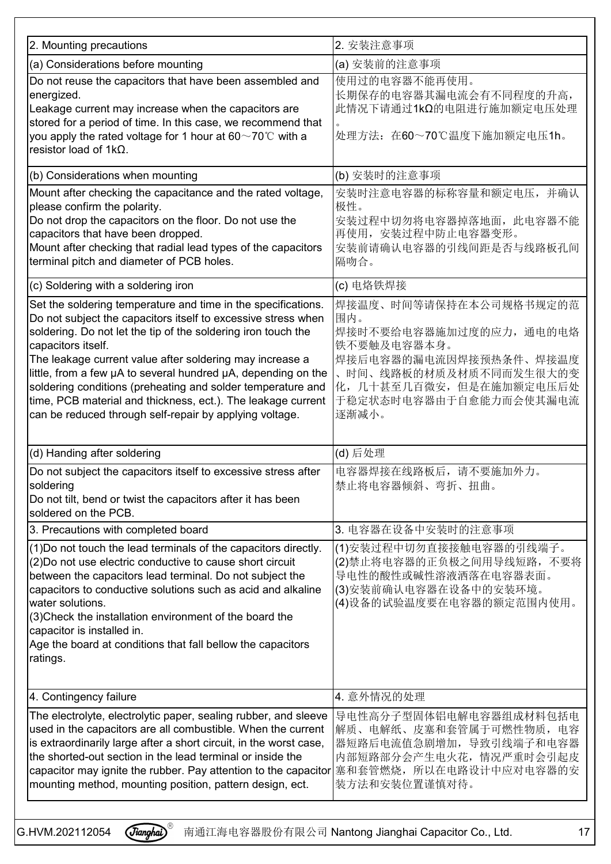| 2. Mounting precautions                                                                                                                                                                                                                                                                                                                                                                                                                                                                                                                      | 2. 安装注意事项                                                                                                                                                                                  |
|----------------------------------------------------------------------------------------------------------------------------------------------------------------------------------------------------------------------------------------------------------------------------------------------------------------------------------------------------------------------------------------------------------------------------------------------------------------------------------------------------------------------------------------------|--------------------------------------------------------------------------------------------------------------------------------------------------------------------------------------------|
| (a) Considerations before mounting                                                                                                                                                                                                                                                                                                                                                                                                                                                                                                           | (a) 安装前的注意事项                                                                                                                                                                               |
| Do not reuse the capacitors that have been assembled and<br>energized.<br>Leakage current may increase when the capacitors are<br>stored for a period of time. In this case, we recommend that<br>you apply the rated voltage for 1 hour at 60 $\sim$ 70°C with a<br>resistor load of $1k\Omega$ .                                                                                                                                                                                                                                           | 使用过的电容器不能再使用。<br>长期保存的电容器其漏电流会有不同程度的升高,<br> 此情况下请通过1kΩ的电阻进行施加额定电压处理<br>处理方法: 在60~70℃温度下施加额定电压1h。                                                                                           |
| (b) Considerations when mounting                                                                                                                                                                                                                                                                                                                                                                                                                                                                                                             | (b) 安装时的注意事项                                                                                                                                                                               |
| Mount after checking the capacitance and the rated voltage,<br>please confirm the polarity.<br>Do not drop the capacitors on the floor. Do not use the<br>capacitors that have been dropped.<br>Mount after checking that radial lead types of the capacitors<br>terminal pitch and diameter of PCB holes.                                                                                                                                                                                                                                   | 安装时注意电容器的标称容量和额定电压,并确认<br>极性。<br>安装过程中切勿将电容器掉落地面, 此电容器不能<br>再使用, 安装过程中防止电容器变形。<br>安装前请确认电容器的引线间距是否与线路板孔间<br>隔吻合。                                                                           |
| (c) Soldering with a soldering iron                                                                                                                                                                                                                                                                                                                                                                                                                                                                                                          | (c) 电烙铁焊接                                                                                                                                                                                  |
| Set the soldering temperature and time in the specifications.<br>Do not subject the capacitors itself to excessive stress when<br>soldering. Do not let the tip of the soldering iron touch the<br>capacitors itself.<br>The leakage current value after soldering may increase a<br>little, from a few µA to several hundred µA, depending on the<br>soldering conditions (preheating and solder temperature and<br>time, PCB material and thickness, ect.). The leakage current<br>can be reduced through self-repair by applying voltage. | 焊接温度、时间等请保持在本公司规格书规定的范<br>围内。<br>焊接时不要给电容器施加过度的应力, 通电的电烙<br>铁不要触及电容器本身。<br>焊接后电容器的漏电流因焊接预热条件、焊接温度<br>时间、线路板的材质及材质不同而发生很大的变<br> 化, 几十甚至几百微安, 但是在施加额定电压后处<br>于稳定状态时电容器由于自愈能力而会使其漏电流<br>逐渐减小。 |
| (d) Handing after soldering                                                                                                                                                                                                                                                                                                                                                                                                                                                                                                                  | (d) 后处理                                                                                                                                                                                    |
| Do not subject the capacitors itself to excessive stress after<br>soldering<br>Do not tilt, bend or twist the capacitors after it has been<br>soldered on the PCB.                                                                                                                                                                                                                                                                                                                                                                           | 电容器焊接在线路板后,请不要施加外力。<br>禁止将电容器倾斜、弯折、扭曲。                                                                                                                                                     |
| 3. Precautions with completed board                                                                                                                                                                                                                                                                                                                                                                                                                                                                                                          | 3. 电容器在设备中安装时的注意事项                                                                                                                                                                         |
| (1) Do not touch the lead terminals of the capacitors directly.<br>(2) Do not use electric conductive to cause short circuit<br>between the capacitors lead terminal. Do not subject the<br>capacitors to conductive solutions such as acid and alkaline<br>water solutions.<br>(3) Check the installation environment of the board the<br>capacitor is installed in.<br>Age the board at conditions that fall bellow the capacitors<br>ratings.                                                                                             | (1)安装过程中切勿直接接触电容器的引线端子。<br>(2)禁止将电容器的正负极之间用导线短路, 不要将<br>导电性的酸性或碱性溶液洒落在电容器表面。<br>(3)安装前确认电容器在设备中的安装环境。<br>(4)设备的试验温度要在电容器的额定范围内使用。                                                          |
| 4. Contingency failure                                                                                                                                                                                                                                                                                                                                                                                                                                                                                                                       | 4. 意外情况的处理                                                                                                                                                                                 |
| The electrolyte, electrolytic paper, sealing rubber, and sleeve<br>used in the capacitors are all combustible. When the current<br>is extraordinarily large after a short circuit, in the worst case,<br>the shorted-out section in the lead terminal or inside the<br>capacitor may ignite the rubber. Pay attention to the capacitor 塞和套管燃烧,所以在电路设计中应对电容器的安<br>mounting method, mounting position, pattern design, ect.                                                                                                                    | 导电性高分子型固体铝电解电容器组成材料包括电<br> 解质、电解纸、皮塞和套管属于可燃性物质, 电容<br> 器短路后电流值急剧增加, 导致引线端子和电容器<br>内部短路部分会产生电火花, 情况严重时会引起皮<br> 装方法和安装位置谨慎对待。                                                                |